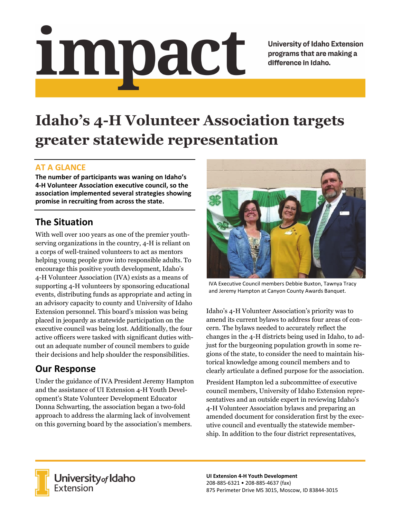# <u>impact</u>

**University of Idaho Extension** programs that are making a difference in Idaho.

# **Idaho's 4-H Volunteer Association targets greater statewide representation**

### **AT A GLANCE**

**The number of participants was waning on Idaho's 4‐H Volunteer Association executive council, so the association implemented several strategies showing promise in recruiting from across the state.** 

# **The Situation**

With well over 100 years as one of the premier youthserving organizations in the country, 4-H is reliant on a corps of well-trained volunteers to act as mentors helping young people grow into responsible adults. To encourage this positive youth development, Idaho's 4-H Volunteer Association (IVA) exists as a means of supporting 4-H volunteers by sponsoring educational events, distributing funds as appropriate and acting in an advisory capacity to county and University of Idaho Extension personnel. This board's mission was being placed in jeopardy as statewide participation on the executive council was being lost. Additionally, the four active officers were tasked with significant duties without an adequate number of council members to guide their decisions and help shoulder the responsibilities.

## **Our Response**

Under the guidance of IVA President Jeremy Hampton and the assistance of UI Extension 4-H Youth Development's State Volunteer Development Educator Donna Schwarting, the association began a two-fold approach to address the alarming lack of involvement on this governing board by the association's members.



IVA Executive Council members Debbie Buxton, Tawnya Tracy and Jeremy Hampton at Canyon County Awards Banquet.

Idaho's 4-H Volunteer Association's priority was to amend its current bylaws to address four areas of concern. The bylaws needed to accurately reflect the changes in the 4-H districts being used in Idaho, to adjust for the burgeoning population growth in some regions of the state, to consider the need to maintain historical knowledge among council members and to clearly articulate a defined purpose for the association.

President Hampton led a subcommittee of executive council members, University of Idaho Extension representatives and an outside expert in reviewing Idaho's 4-H Volunteer Association bylaws and preparing an amended document for consideration first by the executive council and eventually the statewide membership. In addition to the four district representatives,



**University** of Idaho<br>Extension

**UI Extension 4‐H Youth Development**  208‐885‐6321 • 208‐885‐4637 (fax) 875 Perimeter Drive MS 3015, Moscow, ID 83844‐3015